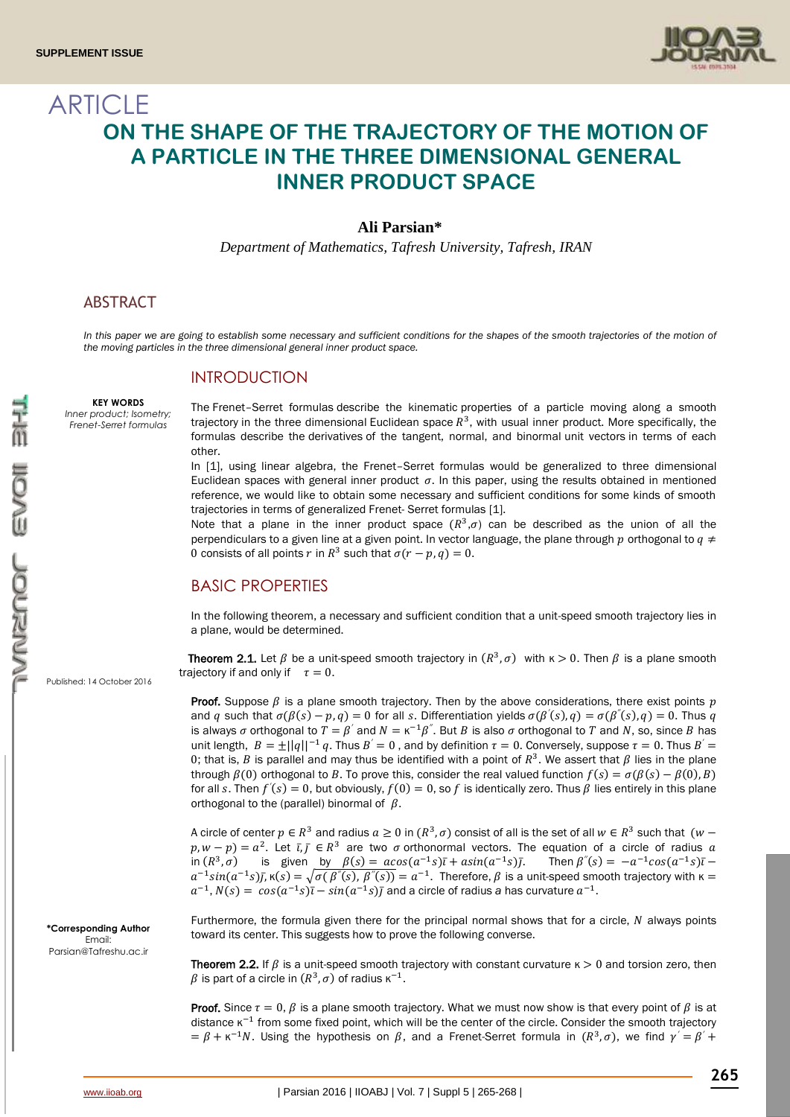

# **ARTICLE ON THE SHAPE OF THE TRAJECTORY OF THE MOTION OF A PARTICLE IN THE THREE DIMENSIONAL GENERAL INNER PRODUCT SPACE**

#### **Ali Parsian\***

*Department of Mathematics, Tafresh University, Tafresh, IRAN*

### ABSTRACT

*In this paper we are going to establish some necessary and sufficient conditions for the shapes of the smooth trajectories of the motion of the moving particles in the three dimensional general inner product space.*

#### INTRODUCTION

#### **KEY WORDS**

*Inner product; Isometry; Frenet-Serret formulas*

The Frenet–Serret formulas describe the [kinematic](https://en.wikipedia.org/wiki/Kinematic) properties of a particle moving along a [smooth](https://en.wikipedia.org/wiki/Curve)  [trajectory](https://en.wikipedia.org/wiki/Curve) in the three dimensional [Euclidean space](https://en.wikipedia.org/wiki/Euclidean_space)  $R^3$ , with usual inner product. More specifically, the formulas describe the [derivatives](https://en.wikipedia.org/wiki/Derivative) of the tangent, normal, and binormal [unit vectors](https://en.wikipedia.org/wiki/Unit_vector) in terms of each other.

In [1], using linear algebra, the Frenet–Serret formulas would be generalized to three dimensional Euclidean spaces with general inner product  $\sigma$ . In this paper, using the results obtained in mentioned reference, we would like to obtain some necessary and sufficient conditions for some kinds of smooth trajectories in terms of generalized Frenet- Serret formulas [1].

Note that a plane in the inner product space  $(R^3,\sigma)$  can be described as the union of all the perpendiculars to a given line at a given point. In vector language, the plane through p orthogonal to  $q \neq$ 0 consists of all points r in  $R^3$  such that  $\sigma(r - p, q) = 0$ .

# BASIC PROPERTIES

In the following theorem, a necessary and sufficient condition that a unit-speed smooth trajectory lies in a plane, would be determined.

**Theorem 2.1.** Let  $\beta$  be a unit-speed smooth trajectory in  $(R^3, \sigma)$  with  $\kappa > 0$ . Then  $\beta$  is a plane smooth trajectory if and only if  $\tau = 0$ .

**Proof.** Suppose  $\beta$  is a plane smooth trajectory. Then by the above considerations, there exist points p and q such that  $\sigma(\beta(s) - p, q) = 0$  for all s. Differentiation yields  $\sigma(\beta'(s), q) = \sigma(\beta''(s), q) = 0$ . Thus q is always  $\sigma$  orthogonal to  $T = \beta'$  and  $N = \kappa^{-1}\beta''$ . But B is also  $\sigma$  orthogonal to T and N, so, since B has unit length,  $B = \pm ||q||^{-1} q$ . Thus  $B' = 0$ , and by definition  $\tau = 0$ . Conversely, suppose  $\tau = 0$ . Thus  $B' =$ 0; that is, B is parallel and may thus be identified with a point of  $R^3$ . We assert that  $\beta$  lies in the plane through  $\beta(0)$  orthogonal to B. To prove this, consider the real valued function  $f(s) = \sigma(\beta(s) - \beta(0), B)$ for all s. Then  $f'(s) = 0$ , but obviously,  $f(0) = 0$ , so f is identically zero. Thus  $\beta$  lies entirely in this plane orthogonal to the (parallel) binormal of  $\beta$ .

A circle of center  $p \in R^3$  and radius  $a \ge 0$  in  $(R^3, \sigma)$  consist of all is the set of all  $w \in R^3$  such that  $(w (p, w-p) = a^2$ . Let  $\bar{i}, \bar{j} \in R^3$  are two  $\sigma$  orthonormal vectors. The equation of a circle of radius  $\alpha$ in  $(R^3, \sigma)$  is given by  $\beta(s) = a\cos(a^{-1}s)\bar{\iota} + a\sin(a^{-1}s)\bar{\jmath}$ . Then  $\beta''(s) = -a^{-1}\cos(a^{-1}s)\bar{\iota}$  $a^{-1}sin(a^{-1}s)\overline{f}_1\kappa(s) = \sqrt{\sigma(\beta^{r}(s),\beta^{r}(s))} = a^{-1}$ . Therefore,  $\beta$  is a unit-speed smooth trajectory with  $\kappa =$  $a^{-1}$ ,  $N(s) = cos(a^{-1}s)\overline{t} - sin(a^{-1}s)\overline{t}$  and a circle of radius *a* has curvature  $a^{-1}$ .

Furthermore, the formula given there for the principal normal shows that for a circle,  $N$  always points toward its center. This suggests how to prove the following converse.

**Theorem 2.2.** If  $\beta$  is a unit-speed smooth trajectory with constant curvature  $\kappa > 0$  and torsion zero, then  $\beta$  is part of a circle in  $(R^3,\sigma)$  of radius  $\kappa^{-1}.$ 

**Proof.** Since  $\tau = 0$ ,  $\beta$  is a plane smooth trajectory. What we must now show is that every point of  $\beta$  is at distance  $\kappa^{-1}$  from some fixed point, which will be the center of the circle. Consider the smooth trajectory  $= \beta + \kappa^{-1}N$ . Using the hypothesis on  $\beta$ , and a Frenet-Serret formula in  $(R^3,\sigma)$ , we find  $\gamma' = \beta' +$ 

Published: 14 October 2016

**\*Corresponding Author** Email: [Parsian@Tafreshu.ac.ir](mailto:Parsian@Tafreshu.ac.ir)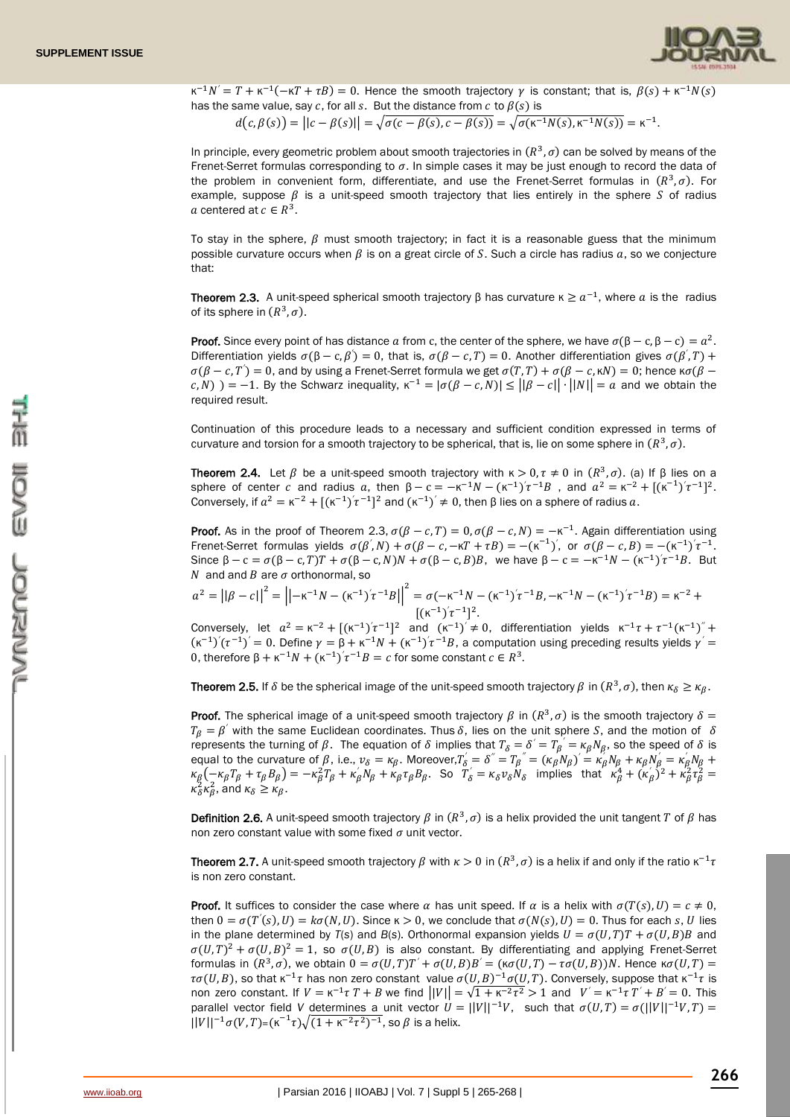

 $\kappa^{-1}N' = T + \kappa^{-1}(-\kappa T + \tau B) = 0$ . Hence the smooth trajectory  $\gamma$  is constant; that is,  $\beta(s) + \kappa^{-1}N(s)$ has the same value, say c, for all s. But the distance from  $c$  to  $\beta(s)$  is

$$
d(c, \beta(s)) = ||c - \beta(s)|| = \sqrt{\sigma(c - \beta(s), c - \beta(s))} = \sqrt{\sigma(\kappa^{-1}N(s), \kappa^{-1}N(s))} = \kappa^{-1}.
$$

In principle, every geometric problem about smooth trajectories in  $(R^3,\sigma)$  can be solved by means of the Frenet-Serret formulas corresponding to  $\sigma$ . In simple cases it may be just enough to record the data of the problem in convenient form, differentiate, and use the Frenet-Serret formulas in  $(R^3,\sigma)$ . For example, suppose  $\beta$  is a unit-speed smooth trajectory that lies entirely in the sphere S of radius a centered at  $c \in R^3$ .

To stay in the sphere,  $\beta$  must smooth trajectory; in fact it is a reasonable guess that the minimum possible curvature occurs when  $\beta$  is on a great circle of S. Such a circle has radius  $a$ , so we conjecture that:

**Theorem 2.3.** A unit-speed spherical smooth trajectory β has curvature  $\kappa \ge a^{-1}$ , where a is the radius of its sphere in  $(R^3, \sigma)$ .

**Proof.** Since every point of has distance a from c, the center of the sphere, we have  $\sigma(\beta - c, \beta - c) = a^2$ . Differentiation yields  $\sigma(\beta - c, \beta') = 0$ , that is,  $\sigma(\beta - c, T) = 0$ . Another differentiation gives  $\sigma(\beta', T)$  + *′ ′*  $\sigma(\beta - c, T) = 0$ , and by using a Frenet-Serret formula we get  $\sigma(T, T) + \sigma(\beta - c, \kappa N) = 0$ ; hence κ $\sigma(\beta - c, \kappa N)$ *′*  $(c, N)$ ) = -1. By the Schwarz inequality,  $\kappa^{-1} = |\sigma(\beta - c, N)| \leq ||\beta - c|| \cdot ||N|| = a$  and we obtain the required result.

Continuation of this procedure leads to a necessary and sufficient condition expressed in terms of curvature and torsion for a smooth trajectory to be spherical, that is, lie on some sphere in  $(R^3,\sigma)$ .

**Theorem 2.4.** Let  $\beta$  be a unit-speed smooth trajectory with  $\kappa > 0$ ,  $\tau \neq 0$  in  $(R^3, \sigma)$ . (a) If  $\beta$  lies on a sphere of center c and radius a, then  $\beta - c = -\kappa^{-1}N - (\kappa^{-1})^{2} \tau^{-1}B$ , and  $\alpha^{2} = \kappa^{-2} + [(\kappa^{-1})^{2} \tau^{-1}]^{2}$ . *′* Conversely, if  $a^2 = \kappa^{-2} + [(\kappa^{-1})'\tau^{-1}]^2$  and  $(\kappa^{-1})' \neq 0$ , then  $\beta$  lies on a sphere of radius a. *′*

**Proof.** As in the proof of Theorem 2.3,  $\sigma(\beta - c, T) = 0$ ,  $\sigma(\beta - c, N) = -\kappa^{-1}$ . Again differentiation using Frenet-Serret formulas yields  $\sigma(\beta', N) + \sigma(\beta - c, -\kappa T + \tau B) = -(\kappa^{-1})'$ , or  $\sigma(\beta - c, B) = -(\kappa^{-1})'\tau^{-1}$ . *′ ′ ′* Since  $\beta - c = \sigma(\beta - c, T)T + \sigma(\beta - c, N)N + \sigma(\beta - c, B)B$ , we have  $\beta - c = -\kappa^{-1}N - (\kappa^{-1})^2\tau^{-1}B$ . But *′* N and and B are  $\sigma$  orthonormal, so

$$
\alpha^2 = ||\beta - c||^2 = ||-\kappa^{-1}N - (\kappa^{-1})'\tau^{-1}B||^2 = \sigma(-\kappa^{-1}N - (\kappa^{-1})'\tau^{-1}B, -\kappa^{-1}N - (\kappa^{-1})'\tau^{-1}B) = \kappa^{-2} + [(\kappa^{-1})'\tau^{-1}]^2.
$$

Conversely, let  $a^2 = \kappa^{-2} + [(\kappa^{-1})^2 \tau^{-1}]^2$  and  $(\kappa^{-1})^2 \neq 0$ , differentiation yields  $\kappa^{-1} \tau + \tau^{-1} (\kappa^{-1})^2 +$ *′*  $(\kappa^{-1})'(\tau^{-1})' = 0$ . Define  $\gamma = \beta + \kappa^{-1}N + (\kappa^{-1})'\tau^{-1}B$ , a computation using preceding results yields  $\gamma' =$ *′ ′* 0, therefore  $\beta + \kappa^{-1}N + (\kappa^{-1})^2 \tau^{-1}B = c$  for some constant  $c \in \mathbb{R}^3$ . *′*

**Theorem 2.5.** If  $\delta$  be the spherical image of the unit-speed smooth trajectory  $\beta$  in  $(R^3, \sigma)$ , then  $\kappa_{\delta} \geq \kappa_{\beta}$ .

**Proof.** The spherical image of a unit-speed smooth trajectory  $\beta$  in  $(R^3, \sigma)$  is the smooth trajectory  $\delta =$  $T_\beta = \beta^{'}$  with the same Euclidean coordinates. Thus  $\delta$ , lies on the unit sphere S, and the motion of  $\delta$ represents the turning of  $\beta$ . The equation of  $\delta$  implies that  $T_\delta = \delta' = T_\beta = \kappa_\beta N_\beta$ , so the speed of  $\delta$  is equal to the curvature of  $\beta$ , i.e.,  $v_{\delta} = \kappa_{\beta}$ . Moreover,  $T_{\delta} = \delta'' = T_{\beta}'' = (\kappa_{\beta} N_{\beta})' = \kappa'_{\beta} N_{\beta} + \kappa_{\beta} N_{\beta} = \kappa'_{\beta} N_{\beta} + \kappa_{\beta} N_{\beta} = \kappa'_{\beta} N_{\beta} + \kappa_{\beta} N_{\beta}$  $\kappa_{\beta}(-\kappa_{\beta}T_{\beta}+\tau_{\beta}B_{\beta})=-\kappa_{\beta}^2T_{\beta}+\kappa_{\beta}^{\prime}N_{\beta}+\kappa_{\beta}\tau_{\beta}B_{\beta}$ . So  $\overline{T}_{\delta}=\kappa_{\delta}v_{\delta}N_{\delta}$  implies that  $\kappa_{\beta}^4+(\kappa_{\beta}^{'})^2+\kappa_{\beta}^2\tau_{\beta}^2=$ *′*  $\kappa_{\delta}^2 \kappa_{\beta}^2$ , and  $\kappa_{\delta} \ge \kappa_{\beta}$ .

**Definition 2.6.** A unit-speed smooth trajectory  $\beta$  in  $(R^3, \sigma)$  is a helix provided the unit tangent T of  $\beta$  has non zero constant value with some fixed  $\sigma$  unit vector.

**Theorem 2.7.** A unit-speed smooth trajectory  $\beta$  with  $\kappa > 0$  in  $(R^3, \sigma)$  is a helix if and only if the ratio  $\kappa^{-1}\tau$ is non zero constant.

**Proof.** It suffices to consider the case where  $\alpha$  has unit speed. If  $\alpha$  is a helix with  $\sigma(T(s), U) = c \neq 0$ , then  $0 = \sigma(T'(s), U) = k\sigma(N, U)$ . Since  $\kappa > 0$ , we conclude that  $\sigma(N(s), U) = 0$ . Thus for each s, U lies in the plane determined by  $T(s)$  and  $B(s)$ . Orthonormal expansion yields  $U = \sigma(U,T)T + \sigma(U,B)B$  and  $\sigma(U,T)^2 + \sigma(U,B)^2 = 1$ , so  $\sigma(U,B)$  is also constant. By differentiating and applying Frenet-Serret formulas in  $(R^3, \sigma)$ , we obtain  $0 = \sigma(U, T)T' + \sigma(U, B)B' = (\kappa \sigma(U, T) - \tau \sigma(U, B))N$ . Hence  $\kappa \sigma(U, T) =$  $\tau\sigma(U,B)$ , so that  $\kappa^{-1}\tau$  has non zero constant value  $\sigma(U,B)^{-1}\sigma(U,T)$ . Conversely, suppose that  $\kappa^{-1}\tau$  is non zero constant. If  $V = \kappa^{-1} \tau T + B$  we find  $||V|| = \sqrt{1 + \kappa^{-2} \tau^2} > 1$  and  $V' = \kappa^{-1} \tau T' + B' = 0$ . This parallel vector field *V* determines a unit vector  $U = ||V||^{-1}V$ , such that  $\sigma(U,T) = \sigma(||V||^{-1}V,T)$  $||V||^{-1}\sigma(V,T)=(\kappa^{-1}\tau)\sqrt{(1+\kappa^{-2}\tau^2)^{-1}}$ , so  $\beta$  is a helix.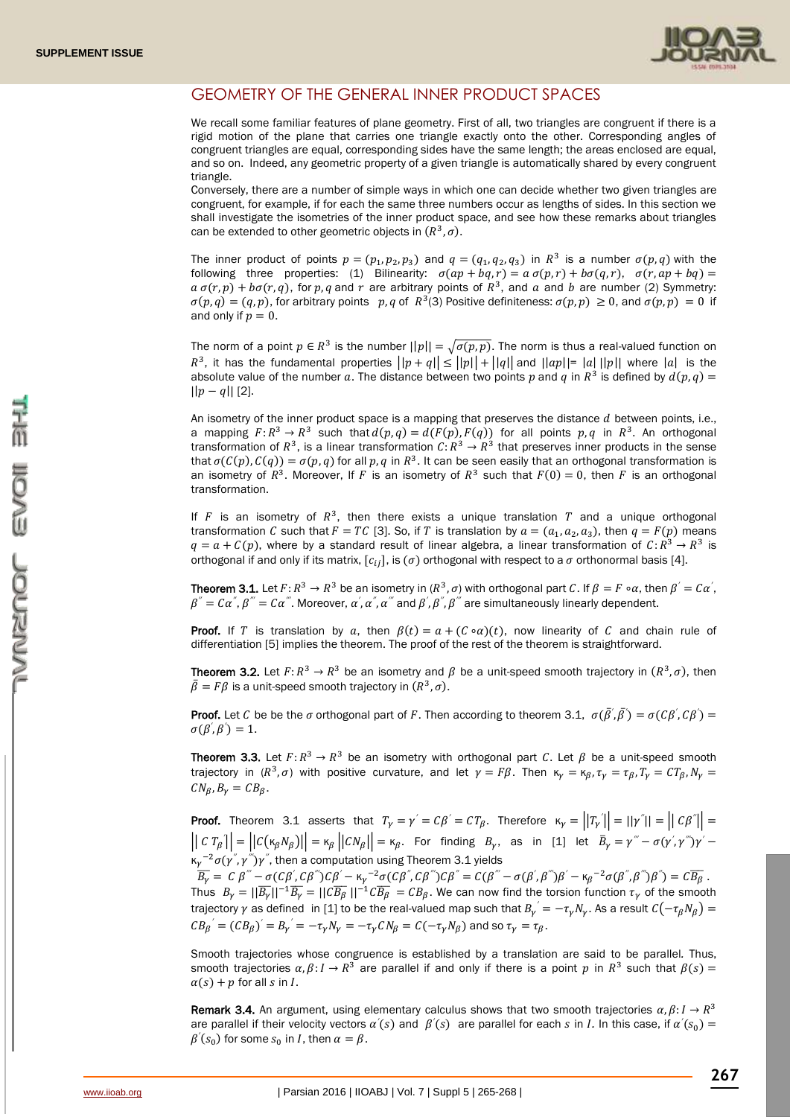

# GEOMETRY OF THE GENERAL INNER PRODUCT SPACES

We recall some familiar features of plane geometry. First of all, two triangles are congruent if there is a rigid motion of the plane that carries one triangle exactly onto the other. Corresponding angles of congruent triangles are equal, corresponding sides have the same length; the areas enclosed are equal, and so on. Indeed, any geometric property of a given triangle is automatically shared by every congruent triangle.

Conversely, there are a number of simple ways in which one can decide whether two given triangles are congruent, for example, if for each the same three numbers occur as lengths of sides. In this section we shall investigate the isometries of the inner product space, and see how these remarks about triangles can be extended to other geometric objects in  $(R^3, \sigma)$ .

The inner product of points  $p = (p_1, p_2, p_3)$  and  $q = (q_1, q_2, q_3)$  in  $R^3$  is a number  $\sigma(p, q)$  with the following three properties: (1) Bilinearity:  $\sigma(ap + bq, r) = a \sigma(p, r) + b \sigma(q, r), \sigma(r, ap + bq) =$  $a \sigma(r, p) + b \sigma(r, q)$ , for p, q and r are arbitrary points of  $R^3$ , and a and b are number (2) Symmetry:  $\sigma(p,q) = (q, p)$ , for arbitrary points p, q of  $R^3(3)$  Positive definiteness:  $\sigma(p, p) \ge 0$ , and  $\sigma(p, p) = 0$  if and only if  $p = 0$ .

The norm of a point  $p \in R^3$  is the number  $||p|| = \sqrt{\sigma(p, p)}$ . The norm is thus a real-valued function on  $R^3$ , it has the fundamental properties  $||p+q|| \leq ||p|| + ||q||$  and  $||ap|| = |a|| ||p||$  where  $|a|$  is the absolute value of the number a. The distance between two points p and q in  $R^3$  is defined by  $d(p,q)$  $||p - q||$  [2].

An isometry of the inner product space is a mapping that preserves the distance  $d$  between points, i.e., a mapping  $F: R^3 \to R^3$  such that  $d(p,q) = d(F(p), F(q))$  for all points p, q in  $R^3$ . An orthogonal transformation of  $R^3$ , is a linear transformation  $C: R^3 \to R^3$  that preserves inner products in the sense that  $\sigma(C(p), C(q)) = \sigma(p, q)$  for all p, q in  $R^3$ . It can be seen easily that an orthogonal transformation is an isometry of  $R^3$ . Moreover, If F is an isometry of  $R^3$  such that  $F(0) = 0$ , then F is an orthogonal transformation.

If  $F$  is an isometry of  $R^3$ , then there exists a unique translation  $T$  and a unique orthogonal transformation C such that  $F = TC$  [3]. So, if T is translation by  $a = (a_1, a_2, a_3)$ , then  $q = F(p)$  means  $q = a + C(p)$ , where by a standard result of linear algebra, a linear transformation of  $C: R^3 \to R^3$  is orthogonal if and only if its matrix,  $[c_{ij}]$ , is ( $\sigma$ ) orthogonal with respect to a  $\sigma$  orthonormal basis [4].

**Theorem 3.1.** Let  $F: R^3 \to R^3$  be an isometry in  $(R^3, \sigma)$  with orthogonal part C. If  $\beta = F \circ \alpha$ , then  $\beta' = C\alpha'$ ,  $\beta^{''}=\mathcal{C}\alpha^{''},$   $\beta^{'''}=\mathcal{C}\alpha^{'''}.$  Moreover,  $\alpha^{'},$   $\alpha^{''},$   $\alpha^{'''}$  and  $\beta^{'},$   $\beta^{''},$   $\beta^{'''}$  are simultaneously linearly dependent. *′ ′*

**Proof.** If T is translation by a, then  $\beta(t) = a + (C \circ a)(t)$ , now linearity of C and chain rule of differentiation [5] implies the theorem. The proof of the rest of the theorem is straightforward.

**Theorem 3.2.** Let  $F: R^3 \to R^3$  be an isometry and  $\beta$  be a unit-speed smooth trajectory in  $(R^3, \sigma)$ , then  $\bar{\beta} = F \beta$  is a unit-speed smooth trajectory in  $(R^3, \sigma)$ .

**Proof.** Let C be be the  $\sigma$  orthogonal part of F. Then according to theorem 3.1,  $\sigma(\bar{\beta}', \bar{\beta}') = \sigma(C\beta', C\beta') =$ *′ ′*  $\sigma(\beta', \beta') = 1.$ *′ ′*

**Theorem 3.3.** Let  $F: R^3 \to R^3$  be an isometry with orthogonal part C. Let  $\beta$  be a unit-speed smooth trajectory in  $(R^3,\sigma)$  with positive curvature, and let  $\gamma = F\beta$ . Then  $\kappa_\gamma = \kappa_\beta$ ,  $\tau_\gamma = \tau_\beta$ ,  $T_\gamma = C T_\beta$ ,  $N_\gamma =$  $CN_{\mathcal{B}}, B_{\nu} = CB_{\mathcal{B}}.$ 

**Proof.** Theorem 3.1 asserts that  $T_\gamma = \gamma' = C\beta' = CT_\beta$ . Therefore  $\kappa_\gamma = ||T_\gamma'|| = ||\gamma''|| = ||C\beta''|| =$  $\left|\left|C T_{\beta} \right|\right| = \left|\left|C(\kappa_{\beta} N_{\beta})\right|\right| = \kappa_{\beta}\left|\left|CN_{\beta}\right|\right| = \kappa_{\beta}.$  For finding  $B_{\gamma}$ , as in [1] let  $\overline{B}_{\gamma} = \gamma''' - \sigma(\gamma', \gamma''')\gamma' -$ *′ ′*  $\kappa_{\gamma}$ <sup>-2</sup>σ(γ<sup>"</sup>,γ<sup>""</sup>)γ<sup>"</sup>, then a computation using Theorem 3.1 yields

 $\overline{B_\gamma} = C \ \beta^{'''} - \sigma(C \beta^{'}, C \beta^{'''}) C \beta^{'} - \kappa_\gamma^{-2} \sigma(C \beta^{''}, C \beta^{'''}) C \beta^{''} = C (\beta^{'''} - \sigma(\beta^{'}, \beta^{'''}) \beta^{'} - \kappa_\beta^{-2} \sigma(\beta^{''}, \beta^{'''}) \beta^{''}) = C \overline{B_\beta} \ .$ *′ ′* Thus  $B_\gamma = ||\overline{B_\gamma}||^{-1}\overline{B_\gamma} = ||\overline{B_\beta}||^{-1}\overline{B_\beta} = CB_\beta$ . We can now find the torsion function  $\tau_\gamma$  of the smooth trajectory  $\gamma$  as defined  $\:$  in [1] to be the real-valued map such that  $B_{\gamma}^{'}=-\tau_{\gamma}N_{\gamma}.$  As a result  ${\cal C}(-\tau_{\beta}N_{\beta})=$  $CB_\beta{}^{'} = (CB_\beta)' = B_\gamma{}^{'} = -\tau_\gamma N_\gamma = -\tau_\gamma CN_\beta = C(-\tau_\gamma N_\beta)$  and so  $\tau_\gamma = \tau_\beta$ .

Smooth trajectories whose congruence is established by a translation are said to be parallel*.* Thus, smooth trajectories  $\alpha, \beta: I \to R^3$  are parallel if and only if there is a point p in  $R^3$  such that  $\beta(s)$  $\alpha(s) + p$  for all s in I.

**Remark 3.4.** An argument, using elementary calculus shows that two smooth trajectories  $\alpha, \beta: I \to R^3$ are parallel if their velocity vectors  $\alpha'(s)$  and  $\beta'(s)$  are parallel for each s in *I*. In this case, if  $\alpha'(s_0)$  = *′*  $\beta'(s_0)$  for some  $s_0$  in *I*, then  $\alpha = \beta$ .